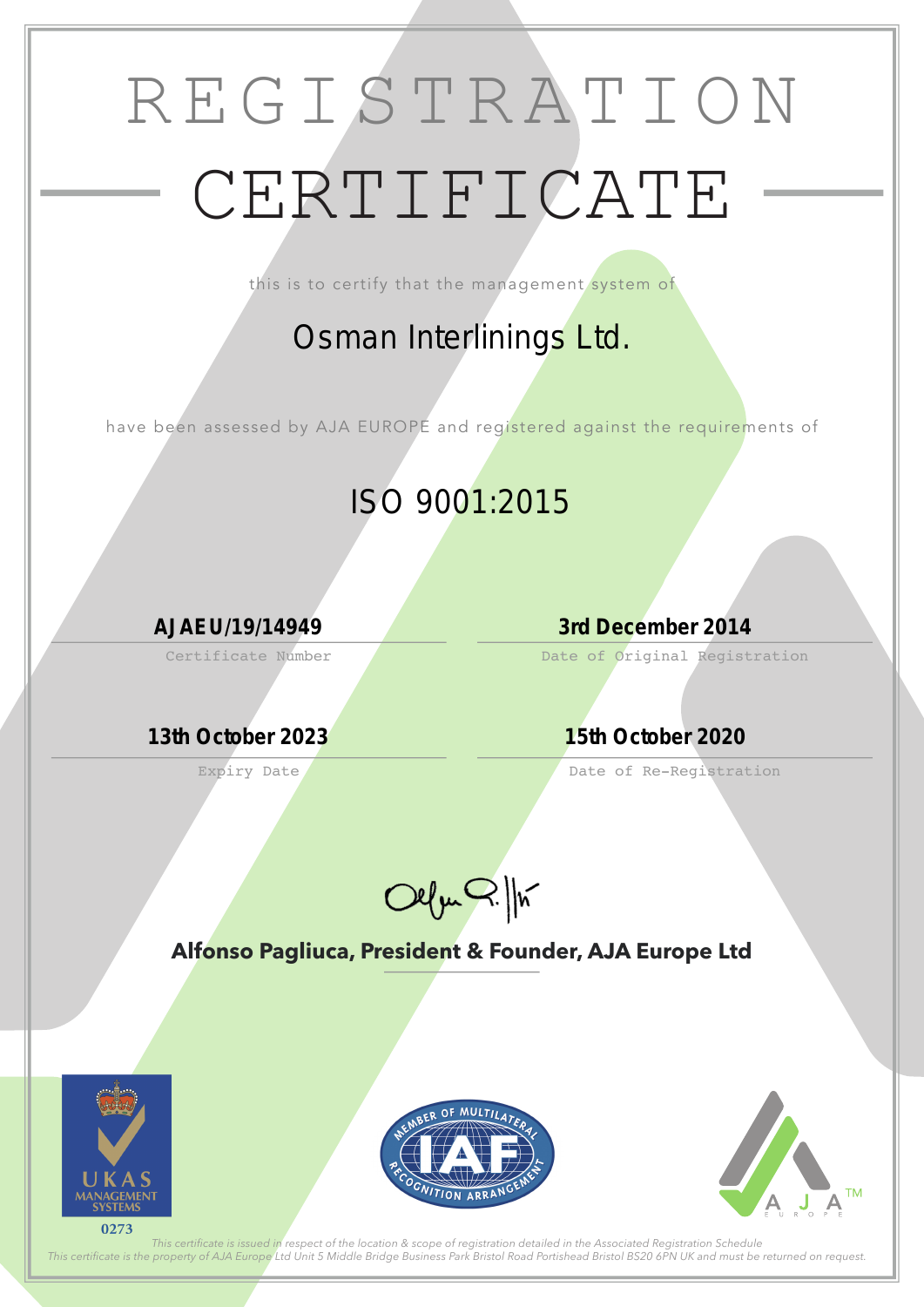# REGISTRATION CERTIFICATE

this is to certify that the management system of

Certificate Number

Expiry Date

Date of Original Registration

Date of Re-Registration



**Alfonso Pagliuca, President & Founder, AJA Europe Ltd**



*This certifcate is issued in respect of the location & scope of registration detailed in the Associated Registration Schedule This certifcate is the property of AJA Europe Ltd Unit 5 Middle Bridge Business Park Bristol Road Portishead Bristol BS20 6PN UK and must be returned on request.*

## *Osman Interlinings Ltd.*

have been assessed by AJA EUROPE and registered against the requirements of

# *ISO 9001:2015*

*AJAEU/19/14949 3rd December 2014*

*13th October 2023 15th October 2020*